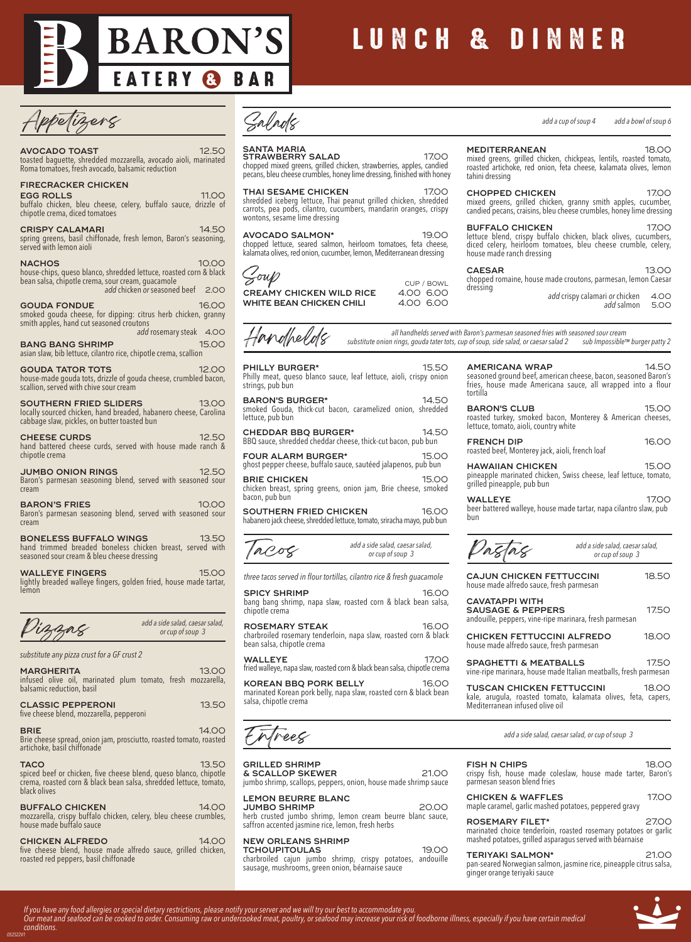

# LUNCH & DINNER

tahini dressing

house made ranch dressing

### **AVOCADO TOAST** 12.50

#### toasted baguette, shredded mozzarella, avocado aioli, marinated Roma tomatoes, fresh avocado, balsamic reduction

### **FIRECRACKER CHICKEN**

**EGG ROLLS** 11.00 buffalo chicken, bleu cheese, celery, buffalo sauce, drizzle of chipotle crema, diced tomatoes

**CRISPY CALAMARI** 14.50 spring greens, basil chiffonade, fresh lemon, Baron's seasoning, served with lemon aioli

**NACHOS** 10.00 house-chips, queso blanco, shredded lettuce, roasted corn & black bean salsa, chipotle crema, sour cream, guacamole *add* chicken *or* seasoned beef 2.00

**GOUDA FONDUE** 16.00 smoked gouda cheese, for dipping: citrus herb chicken, granny smith apples, hand cut seasoned croutons add rosemary steak 4.00

**BANG BANG SHRIMP 15.00** asian slaw, bib lettuce, cilantro rice, chipotle crema, scallion

**GOUDA TATOR TOTS** 12.00 house-made gouda tots, drizzle of gouda cheese, crumbled bacon, scallion, served with chive sour cream

**SOUTHERN FRIED SLIDERS** 13.00 locally sourced chicken, hand breaded, habanero cheese, Carolina cabbage slaw, pickles, on butter toasted bun

**CHEESE CURDS** 12.50 hand battered cheese curds, served with house made ranch & chipotle crema

**JUMBO ONION RINGS** 12.50 Baron's parmesan seasoning blend, served with seasoned sour cream

**BARON'S FRIES** 10.00 Baron's parmesan seasoning blend, served with seasoned sour cream

**BONELESS BUFFALO WINGS** 13.50 hand trimmed breaded boneless chicken breast, served with seasoned sour cream & bleu cheese dressing

**WALLEYE FINGERS** 15.00 lightly breaded walleye fingers, golden fried, house made tartar, lemon

*substitute any pizza crust for a GF crust 2*

| <b>MARGHERITA</b><br>infused olive oil, marinated plum tomato, fresh mozzarella,<br>balsamic reduction, basil    | 13.00 |
|------------------------------------------------------------------------------------------------------------------|-------|
| <b>CLASSIC PEPPERONI</b><br>five cheese blend, mozzarella, pepperoni                                             | 13.50 |
| <b>BRIE</b><br>Brie cheese spread, onion jam, prosciutto, roasted tomato, roasted<br>artichoke, basil chiffonade | 14.OO |
| TACO                                                                                                             | 13.50 |

**TACO** 13.50 spiced beef or chicken, five cheese blend, queso blanco, chipotle crema, roasted corn & black bean salsa, shredded lettuce, tomato, black olives

**BUFFALO CHICKEN** 14.00 mozzarella, crispy buffalo chicken, celery, bleu cheese crumbles, house made buffalo sauce

**CHICKEN ALFREDO** 14.00 five cheese blend, house made alfredo sauce, grilled chicken, roasted red peppers, basil chiffonade

Salads

**SANTA MARIA**

**STRAWBERRY SALAD** 17.00 chopped mixed greens, grilled chicken, strawberries, apples, candied pecans, bleu cheese crumbles, honey lime dressing, finished with honey

**THAI SESAME CHICKEN** 17.00 shredded iceberg lettuce, Thai peanut grilled chicken, shredded carrots, pea pods, cilantro, cucumbers, mandarin oranges, crispy wontons, sesame lime dressing

**AVOCADO SALMON\*** 19.00 chopped lettuce, seared salmon, heirloom tomatoes, feta cheese, kalamata olives, red onion, cucumber, lemon, Mediterranean dressing



**CREAMY CHICKEN WILD RICE** 4.00 6.00 **WHITE BEAN CHICKEN CHILI** 4.00 6.00



*all handhelds served with Baron's parmesan seasoned fries with seasoned sour cream*

dressing

CUP / BOWL

*substitute onion rings, gouda tater tots, cup of soup, side salad, or caesar salad 2 sub Impossible™ burger patty 2*

Philly meat, queso blanco sauce, leaf lettuce, aioli, crispy onion strings, pub bun **BARON'S BURGER\*** 14.50

**PHILLY BURGER\*** 15.50

smoked Gouda, thick-cut bacon, caramelized onion, shredded lettuce, pub bun

**CHEDDAR BBQ BURGER\*** 14.50 BBQ sauce, shredded cheddar cheese, thick-cut bacon, pub bun

**FOUR ALARM BURGER\*** 15.00 ghost pepper cheese, buffalo sauce, sautéed jalapenos, pub bun

**BRIE CHICKEN** 15.00 chicken breast, spring greens, onion jam, Brie cheese, smoked bacon, pub bun

**SOUTHERN FRIED CHICKEN** 16.00 habanero jack cheese, shredded lettuce, tomato, sriracha mayo, pub bun

| add a side salad, caesar salad,<br>IACOS<br>or cup of soup 3 |
|--------------------------------------------------------------|
|--------------------------------------------------------------|

*three tacos served in flour tortillas, cilantro rice & fresh guacamole*

**SPICY SHRIMP** 16.00 bang bang shrimp, napa slaw, roasted corn & black bean salsa, chipotle crema

**ROSEMARY STEAK** 16.00 charbroiled rosemary tenderloin, napa slaw, roasted corn & black bean salsa, chipotle crema

**WALLEYE** 17.00 fried walleye, napa slaw, roasted corn & black bean salsa, chipotle crema

**KOREAN BBQ PORK BELLY** 16.00 marinated Korean pork belly, napa slaw, roasted corn & black bean salsa, chipotle crema

Enfrees

*add a side salad, caesar salad,*

### **GRILLED SHRIMP**

**& SCALLOP SKEWER** 21.00 jumbo shrimp, scallops, peppers, onion, house made shrimp sauce **LEMON BEURRE BLANC**

**JUMBO SHRIMP** 20.00 herb crusted jumbo shrimp, lemon cream beurre blanc sauce, saffron accented jasmine rice, lemon, fresh herbs

**NEW ORLEANS SHRIMP**

**TCHOUPITOULAS** 19.00 charbroiled cajun jumbo shrimp, crispy potatoes, andouille sausage, mushrooms, green onion, béarnaise sauce

**AMERICANA WRAP** 14.50 seasoned ground beef, american cheese, bacon, seasoned Baron's fries, house made Americana sauce, all wrapped into a flour tortilla **BARON'S CLUB** 15.00 roasted turkey, smoked bacon, Monterey & American cheeses,

lettuce, tomato, aioli, country white **FRENCH DIP** 16.00 roasted beef, Monterey jack, aioli, french loaf

**HAWAIIAN CHICKEN** 15.00 pineapple marinated chicken, Swiss cheese, leaf lettuce, tomato, grilled pineapple, pub bun

**WALLEYE** 17.00 beer battered walleye, house made tartar, napa cilantro slaw, pub bun

|                                                                                                                                      | add a side salad, caesar salad,<br>or cup of soup 3 |       |
|--------------------------------------------------------------------------------------------------------------------------------------|-----------------------------------------------------|-------|
| <b>CAJUN CHICKEN FETTUCCINI</b><br>house made alfredo sauce, fresh parmesan                                                          |                                                     | 18.50 |
| <b>CAVATAPPI WITH</b><br><b>SAUSAGE &amp; PEPPERS</b><br>andouille, peppers, vine-ripe marinara, fresh parmesan                      |                                                     | 17.50 |
| <b>CHICKEN FETTUCCINI ALFREDO</b><br>house made alfredo sauce, fresh parmesan                                                        |                                                     | 18.OO |
| <b>SPAGHETTI &amp; MEATBALLS</b><br>vine-ripe marinara, house made Italian meatballs, fresh parmesan                                 |                                                     | 17.50 |
| <b>TUSCAN CHICKEN FETTUCCINI</b><br>kale, arugula, roasted tomato, kalamata olives, feta, capers,<br>Mediterranean infused olive oil |                                                     | 18.00 |

*add a side salad, caesar salad, or cup of soup 3*

| <b>FISH N CHIPS</b><br>crispy fish, house made coleslaw, house made tarter, Baron's<br>parmesan season blend fries |  | 18 O.O |  |
|--------------------------------------------------------------------------------------------------------------------|--|--------|--|
| <b>CHICKEN &amp; WAFFLES</b>                                                                                       |  | 1700   |  |

maple caramel, garlic mashed potatoes, peppered gravy

**ROSEMARY FILET\*** 27.00 marinated choice tenderloin, roasted rosemary potatoes or garlic mashed potatoes, grilled asparagus served with béarnaise

**TERIYAKI SALMON\*** 21.00 pan-seared Norwegian salmon, jasmine rice, pineapple citrus salsa, ginger orange teriyaki sauce





*add a cup of soup 4 add a bowl of soup 6*

add crispy calamari or chicken 4.00

*add a side salad, caesar salad,*

*add* salmon 5.00

**MEDITERRANEAN** 18.00 mixed greens, grilled chicken, chickpeas, lentils, roasted tomato, roasted artichoke, red onion, feta cheese, kalamata olives, lemon

**CHOPPED CHICKEN** 17.00 mixed greens, grilled chicken, granny smith apples, cucumber, candied pecans, craisins, bleu cheese crumbles, honey lime dressing **BUFFALO CHICKEN** 17.00 lettuce blend, crispy buffalo chicken, black olives, cucumbers, diced celery, heirloom tomatoes, bleu cheese crumble, celery,

**CAESAR** 13.00 chopped romaine, house made croutons, parmesan, lemon Caesar